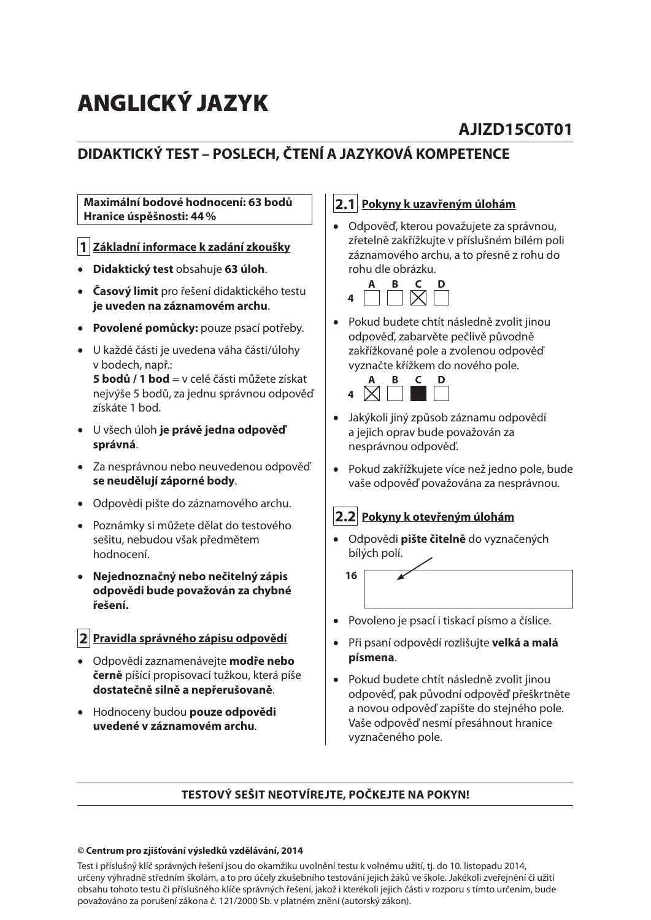# **ANGLICKÝ JAZYK**

# **AJIZD15C0T01**

# **DIDAKTICKÝ TEST – POSLECH, ČTENÍ A JAZYKOVÁ KOMPETENCE**

#### **Maximální bodové hodnocení: 63 bodů Hranice úspěšnosti: 44 %**

#### **1 Základní informace k zadání zkoušky**

- **Didaktický test** obsahuje **63 úloh**.
- **Časový limit** pro řešení didaktického testu **je uveden na záznamovém archu**.
- **Povolené pomůcky:** pouze psací potřeby.
- U každé části je uvedena váha části/úlohy v bodech, např.: **5 bodů / 1 bod** = v celé části můžete získat nejvýše 5 bodů, za jednu správnou odpověď získáte 1 bod.
- U všech úloh **je právě jedna odpověď správná**.
- Za nesprávnou nebo neuvedenou odpověď **se neudělují záporné body**.
- Odpovědi pište do záznamového archu.
- Poznámky si můžete dělat do testového sešitu, nebudou však předmětem hodnocení.
- **Nejednoznačný nebo nečitelný zápis odpovědi bude považován za chybné řešení.**

#### **2 Pravidla správného zápisu odpovědí**

- Odpovědi zaznamenávejte **modře nebo černě** píšící propisovací tužkou, která píše **dostatečně silně a nepřerušovaně**.
- Hodnoceny budou **pouze odpovědi uvedené v záznamovém archu**.

#### **2.1 Pokyny k uzavřeným úlohám**

 Odpověď, kterou považujete za správnou, zřetelně zakřížkujte v příslušném bílém poli záznamového archu, a to přesně z rohu do rohu dle obrázku.



 Pokud budete chtít následně zvolit jinou odpověď, zabarvěte pečlivě původně zakřížkované pole a zvolenou odpověď vyznačte křížkem do nového pole.



- Jakýkoli jiný způsob záznamu odpovědí a jejich oprav bude považován za nesprávnou odpověď.
- Pokud zakřížkujete více než jedno pole, bude vaše odpověď považována za nesprávnou.

#### **2.2 Pokyny k otevřeným úlohám**

 Odpovědi **pište čitelně** do vyznačených bílých polí.



- Povoleno je psací i tiskací písmo a číslice.
- Při psaní odpovědí rozlišujte **velká a malá písmena**.
- Pokud budete chtít následně zvolit jinou odpověď, pak původní odpověď přeškrtněte a novou odpověď zapište do stejného pole. Vaše odpověď nesmí přesáhnout hranice vyznačeného pole.

#### **TESTOVÝ SEŠIT NEOTVÍREJTE, POČKEJTE NA POKYN!**

#### **© Centrum pro zjišťování výsledků vzdělávání, 2014**

Test i příslušný klíč správných řešení jsou do okamžiku uvolnění testu k volnému užití, tj. do 10. listopadu 2014, určeny výhradně středním školám, a to pro účely zkušebního testování jejich žáků ve škole. Jakékoli zveřejnění či užití obsahu tohoto testu či příslušného klíče správných řešení, jakož i kterékoli jejich části v rozporu s tímto určením, bude považováno za porušení zákona č. 121/2000 Sb. v platném znění (autorský zákon).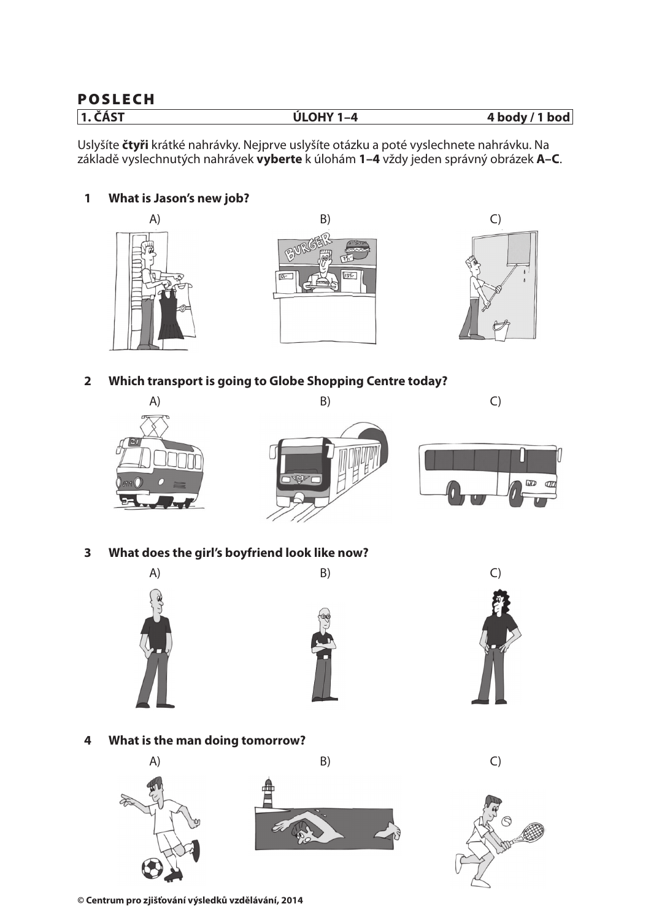## **POSLECH**

| $1.\check{\mathsf{C}}$ ÁST | ÚІ ЛUV 1<br>$-4$ | $\cdot$ 1 bod<br>4 body |
|----------------------------|------------------|-------------------------|
|                            |                  |                         |

Uslyšíte **čtyři** krátké nahrávky. Nejprve uslyšíte otázku a poté vyslechnete nahrávku. Na základě vyslechnutých nahrávek **vyberte** k úlohám **1–4** vždy jeden správný obrázek **A–C**.

#### **1 What is Jason's new job?**







**2 Which transport is going to Globe Shopping Centre today?**







**3 What does the girl's boyfriend look like now?**







**4 What is the man doing tomorrow?**





**© Centrum pro zjišťování výsledků vzdělávání, 2014**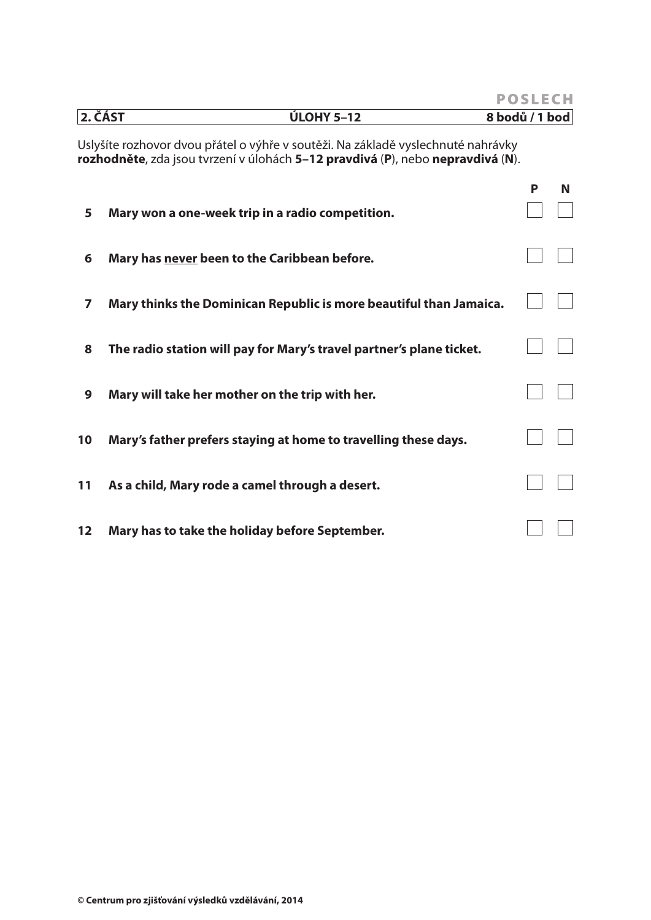|         |                                                                                                                                                                    | <b>POSLECH</b> |  |   |  |  |  |
|---------|--------------------------------------------------------------------------------------------------------------------------------------------------------------------|----------------|--|---|--|--|--|
| 2. ČÁST | <b>ÚLOHY 5-12</b>                                                                                                                                                  | 8 bodů / 1 bod |  |   |  |  |  |
|         | Uslyšíte rozhovor dvou přátel o výhře v soutěži. Na základě vyslechnuté nahrávky<br>rozhodněte, zda jsou tvrzení v úlohách 5-12 pravdivá (P), nebo nepravdivá (N). |                |  |   |  |  |  |
| 5       | Mary won a one-week trip in a radio competition.                                                                                                                   | P              |  | N |  |  |  |
| 6       | Mary has never been to the Caribbean before.                                                                                                                       |                |  |   |  |  |  |
| 7       | Mary thinks the Dominican Republic is more beautiful than Jamaica.                                                                                                 |                |  |   |  |  |  |
| 8       | The radio station will pay for Mary's travel partner's plane ticket.                                                                                               |                |  |   |  |  |  |
| 9       | Mary will take her mother on the trip with her.                                                                                                                    |                |  |   |  |  |  |
| 10      | Mary's father prefers staying at home to travelling these days.                                                                                                    |                |  |   |  |  |  |
| 11      | As a child, Mary rode a camel through a desert.                                                                                                                    |                |  |   |  |  |  |
| 12      | Mary has to take the holiday before September.                                                                                                                     |                |  |   |  |  |  |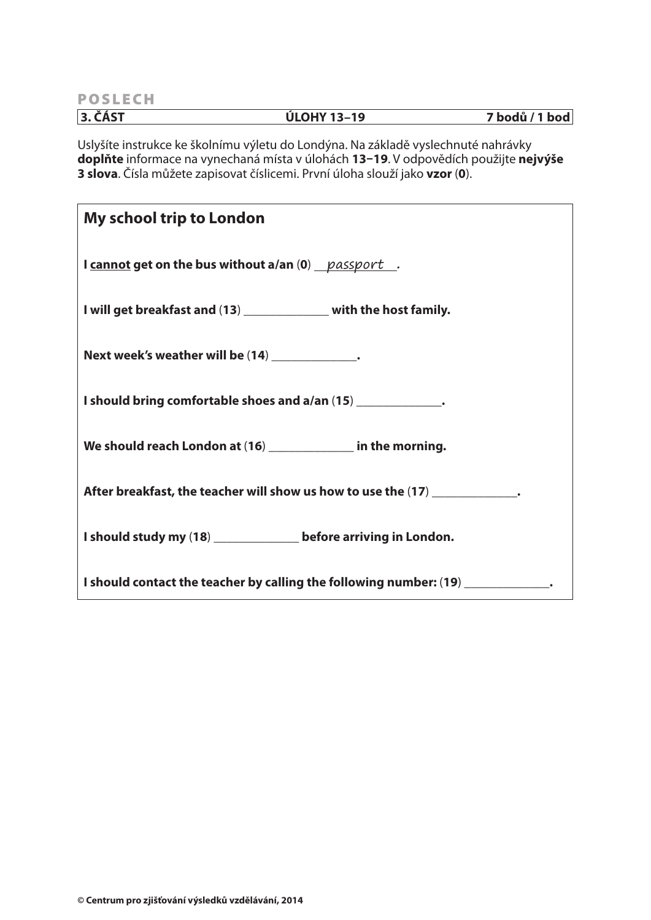**POSLECH 3. ČÁST ÚLOHY 13–19 7 bodů / 1 bod**

Uslyšíte instrukce ke školnímu výletu do Londýna. Na základě vyslechnuté nahrávky **doplňte** informace na vynechaná místa v úlohách **13–19**. V odpovědích použijte **nejvýše 3 slova**. Čísla můžete zapisovat číslicemi. První úloha slouží jako **vzor** (**0**).

| <b>My school trip to London</b>                                                  |
|----------------------------------------------------------------------------------|
| I cannot get on the bus without a/an (0) passport.                               |
| I will get breakfast and (13) _____________ with the host family.                |
| Next week's weather will be (14) _____________.                                  |
| I should bring comfortable shoes and a/an (15) _____________.                    |
| We should reach London at (16) _____________ in the morning.                     |
| After breakfast, the teacher will show us how to use the (17) _____________.     |
| I should study my (18) _______________ before arriving in London.                |
| I should contact the teacher by calling the following number: (19) ____________. |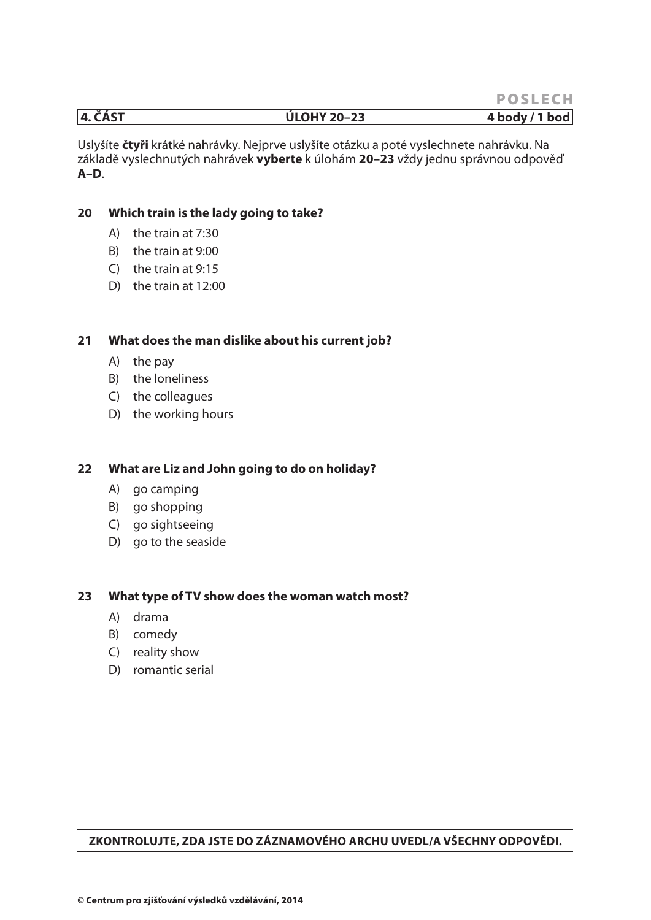#### **4. ČÁST ÚLOHY 20–23 4 body / 1 bod**

Uslyšíte **čtyři** krátké nahrávky. Nejprve uslyšíte otázku a poté vyslechnete nahrávku. Na základě vyslechnutých nahrávek **vyberte** k úlohám **20–23** vždy jednu správnou odpověď **A–D**.

#### **20 Which train is the lady going to take?**

- A) the train at 7:30
- B) the train at 9:00
- C) the train at 9:15
- D) the train at 12:00

#### **21 What does the man dislike about his current job?**

- A) the pay
- B) the loneliness
- C) the colleagues
- D) the working hours

#### **22 What are Liz and John going to do on holiday?**

- A) go camping
- B) go shopping
- C) go sightseeing
- D) go to the seaside

#### **23 What type of TV show does the woman watch most?**

- A) drama
- B) comedy
- C) reality show
- D) romantic serial

#### **ZKONTROLUJTE, ZDA JSTE DO ZÁZNAMOVÉHO ARCHU UVEDL/A VŠECHNY ODPOVĚDI.**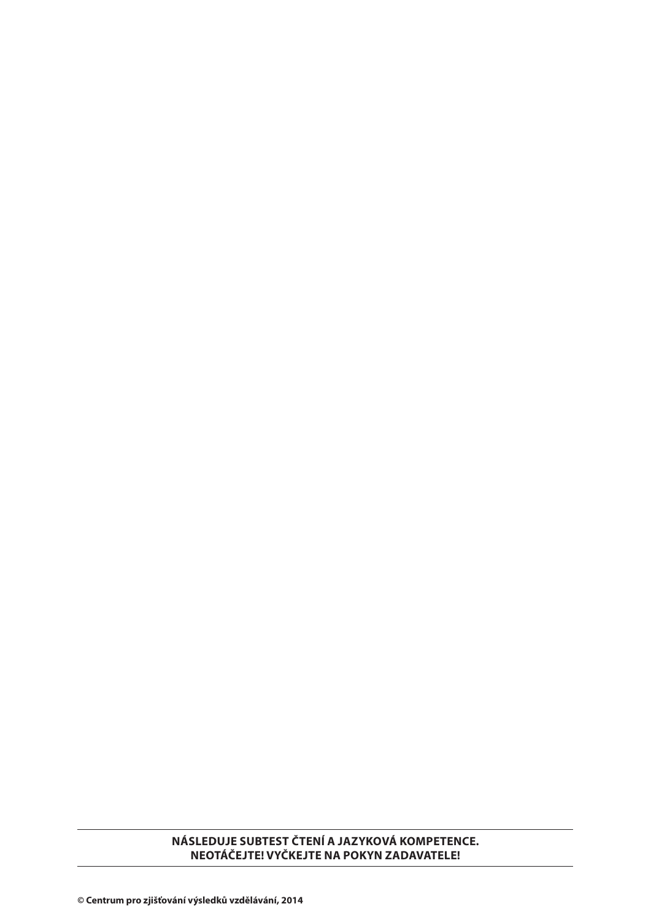#### **NÁSLEDUJE SUBTEST ČTENÍ A JAZYKOVÁ KOMPETENCE. NEOTÁČEJTE! VYČKEJTE NA POKYN ZADAVATELE!**

**© Centrum pro zjišťování výsledků vzdělávání, 2014**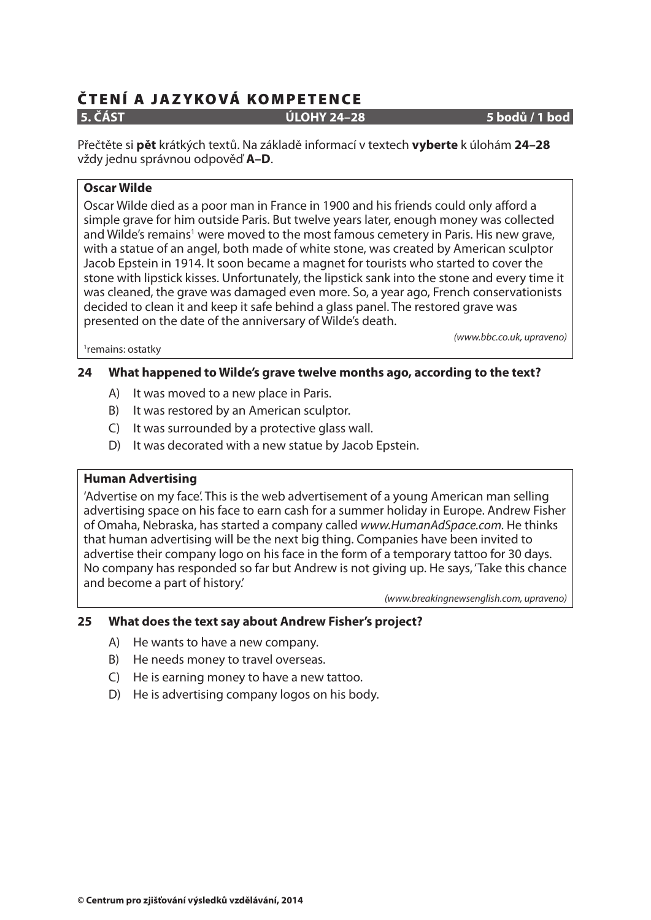**5. ČÁST ÚLOHY 24–28 5 bodů / 1 bod**

Přečtěte si **pět** krátkých textů. Na základě informací v textech **vyberte** k úlohám **24–28** vždy jednu správnou odpověď **A–D**.

#### **Oscar Wilde**

Oscar Wilde died as a poor man in France in 1900 and his friends could only afford a simple grave for him outside Paris. But twelve years later, enough money was collected and Wilde's remains<sup>1</sup> were moved to the most famous cemetery in Paris. His new grave, with a statue of an angel, both made of white stone, was created by American sculptor Jacob Epstein in 1914. It soon became a magnet for tourists who started to cover the stone with lipstick kisses. Unfortunately, the lipstick sank into the stone and every time it was cleaned, the grave was damaged even more. So, a year ago, French conservationists decided to clean it and keep it safe behind a glass panel. The restored grave was presented on the date of the anniversary of Wilde's death.

(www.bbc.co.uk, upraveno)

1 remains: ostatky

#### **24 What happened to Wilde's grave twelve months ago, according to the text?**

- A) It was moved to a new place in Paris.
- B) It was restored by an American sculptor.
- C) It was surrounded by a protective glass wall.
- D) It was decorated with a new statue by Jacob Epstein.

#### **Human Advertising**

'Advertise on my face'. This is the web advertisement of a young American man selling advertising space on his face to earn cash for a summer holiday in Europe. Andrew Fisher of Omaha, Nebraska, has started a company called www.HumanAdSpace.com. He thinks that human advertising will be the next big thing. Companies have been invited to advertise their company logo on his face in the form of a temporary tattoo for 30 days. No company has responded so far but Andrew is not giving up. He says, 'Take this chance and become a part of history.'

(www.breakingnewsenglish.com, upraveno)

#### **25 What does the text say about Andrew Fisher's project?**

- A) He wants to have a new company.
- B) He needs money to travel overseas.
- C) He is earning money to have a new tattoo.
- D) He is advertising company logos on his body.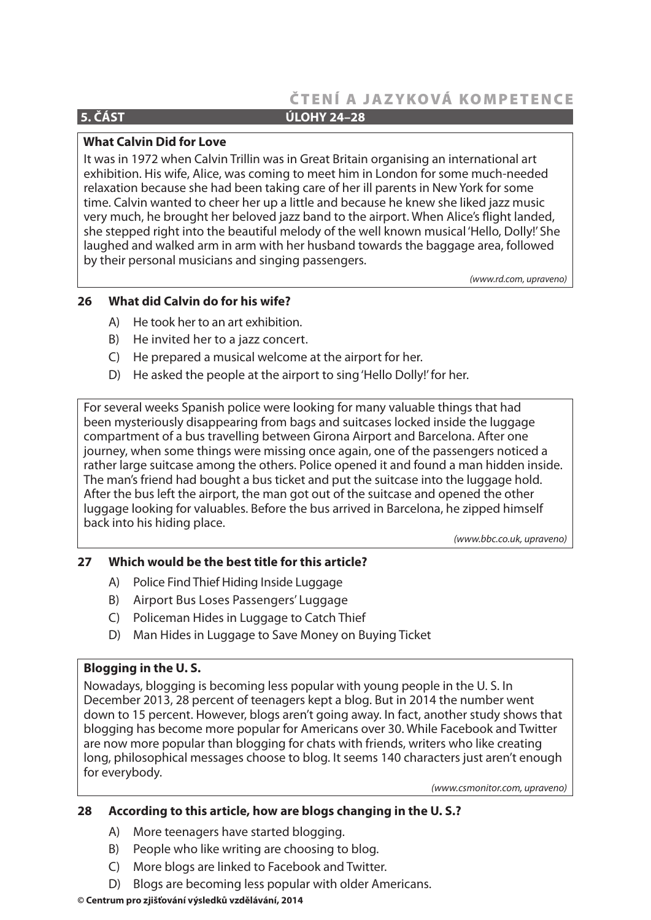#### **5. ČÁST ÚLOHY 24–28**

#### **What Calvin Did for Love**

It was in 1972 when Calvin Trillin was in Great Britain organising an international art exhibition. His wife, Alice, was coming to meet him in London for some much-needed relaxation because she had been taking care of her ill parents in New York for some time. Calvin wanted to cheer her up a little and because he knew she liked jazz music very much, he brought her beloved jazz band to the airport. When Alice's flight landed, she stepped right into the beautiful melody of the well known musical 'Hello, Dolly!' She laughed and walked arm in arm with her husband towards the baggage area, followed by their personal musicians and singing passengers.

(www.rd.com, upraveno)

#### **26 What did Calvin do for his wife?**

- A) He took her to an art exhibition.
- B) He invited her to a jazz concert.
- C) He prepared a musical welcome at the airport for her.
- D) He asked the people at the airport to sing 'Hello Dolly!' for her.

For several weeks Spanish police were looking for many valuable things that had been mysteriously disappearing from bags and suitcases locked inside the luggage compartment of a bus travelling between Girona Airport and Barcelona. After one journey, when some things were missing once again, one of the passengers noticed a rather large suitcase among the others. Police opened it and found a man hidden inside. The man's friend had bought a bus ticket and put the suitcase into the luggage hold. After the bus left the airport, the man got out of the suitcase and opened the other luggage looking for valuables. Before the bus arrived in Barcelona, he zipped himself back into his hiding place.

(www.bbc.co.uk, upraveno)

#### **27 Which would be the best title for this article?**

- A) Police Find Thief Hiding Inside Luggage
- B) Airport Bus Loses Passengers' Luggage
- C) Policeman Hides in Luggage to Catch Thief
- D) Man Hides in Luggage to Save Money on Buying Ticket

#### **Blogging in the U. S.**

Nowadays, blogging is becoming less popular with young people in the U. S. In December 2013, 28 percent of teenagers kept a blog. But in 2014 the number went down to 15 percent. However, blogs aren't going away. In fact, another study shows that blogging has become more popular for Americans over 30. While Facebook and Twitter are now more popular than blogging for chats with friends, writers who like creating long, philosophical messages choose to blog. It seems 140 characters just aren't enough for everybody.

(www.csmonitor.com, upraveno)

#### **28 According to this article, how are blogs changing in the U. S.?**

- A) More teenagers have started blogging.
- B) People who like writing are choosing to blog.
- C) More blogs are linked to Facebook and Twitter.
- D) Blogs are becoming less popular with older Americans.

#### **© Centrum pro zjišťování výsledků vzdělávání, 2014**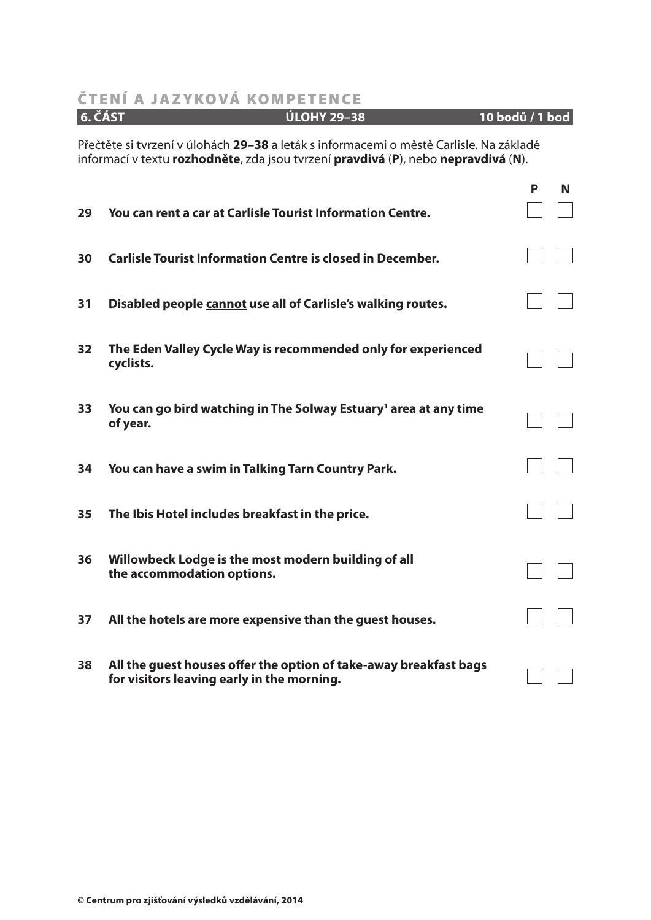|                                                                                                                                                                             | <b>6. ČÁST</b><br><b>ÚLOHY 29-38</b>                                                                            | 10 bodů / 1 bod |   |
|-----------------------------------------------------------------------------------------------------------------------------------------------------------------------------|-----------------------------------------------------------------------------------------------------------------|-----------------|---|
| Přečtěte si tvrzení v úlohách 29–38 a leták s informacemi o městě Carlisle. Na základě<br>informací v textu rozhodněte, zda jsou tvrzení pravdivá (P), nebo nepravdivá (N). |                                                                                                                 |                 |   |
| 29                                                                                                                                                                          | You can rent a car at Carlisle Tourist Information Centre.                                                      | P               | N |
| 30                                                                                                                                                                          | <b>Carlisle Tourist Information Centre is closed in December.</b>                                               |                 |   |
| 31                                                                                                                                                                          | Disabled people cannot use all of Carlisle's walking routes.                                                    |                 |   |
| 32                                                                                                                                                                          | The Eden Valley Cycle Way is recommended only for experienced<br>cyclists.                                      |                 |   |
| 33                                                                                                                                                                          | You can go bird watching in The Solway Estuary <sup>1</sup> area at any time<br>of year.                        |                 |   |
| 34                                                                                                                                                                          | You can have a swim in Talking Tarn Country Park.                                                               |                 |   |
| 35                                                                                                                                                                          | The Ibis Hotel includes breakfast in the price.                                                                 |                 |   |
| 36                                                                                                                                                                          | Willowbeck Lodge is the most modern building of all<br>the accommodation options.                               |                 |   |
| 37                                                                                                                                                                          | All the hotels are more expensive than the guest houses.                                                        |                 |   |
| 38                                                                                                                                                                          | All the guest houses offer the option of take-away breakfast bags<br>for visitors leaving early in the morning. |                 |   |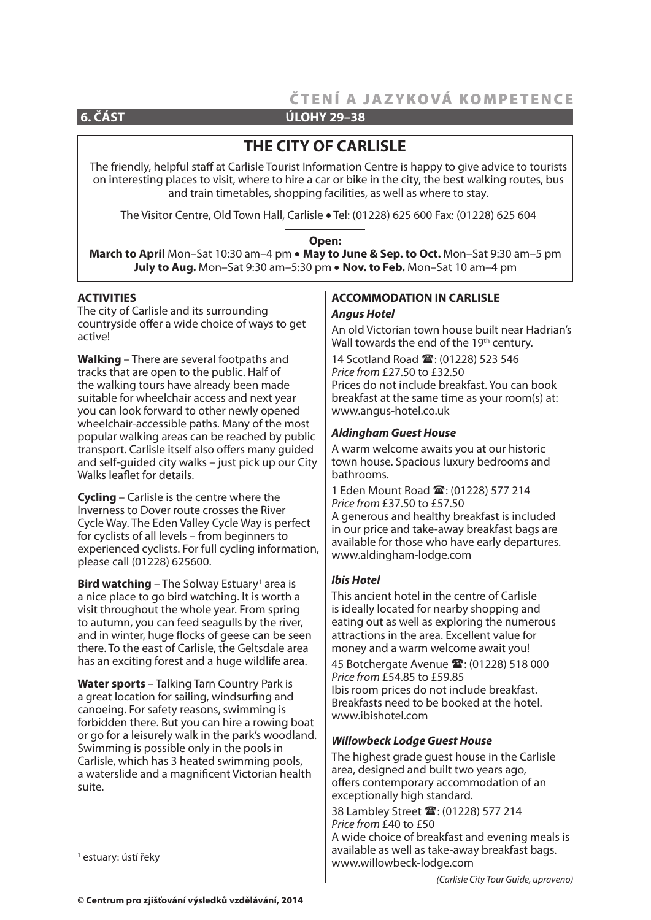**6. ČÁST ÚLOHY 29–38**

# **THE CITY OF CARLISLE**

The friendly, helpful staff at Carlisle Tourist Information Centre is happy to give advice to tourists on interesting places to visit, where to hire a car or bike in the city, the best walking routes, bus and train timetables, shopping facilities, as well as where to stay.

The Visitor Centre, Old Town Hall, Carlisle • Tel: (01228) 625 600 Fax: (01228) 625 604

#### **Open:**

**March to April** Mon–Sat 10:30 am–4 pm **May to June & Sep. to Oct.** Mon–Sat 9:30 am–5 pm July to Aug. Mon-Sat 9:30 am-5:30 pm • Nov. to Feb. Mon-Sat 10 am-4 pm

#### **ACTIVITIES**

The city of Carlisle and its surrounding countryside offer a wide choice of ways to get active!

**Walking** – There are several footpaths and tracks that are open to the public. Half of the walking tours have already been made suitable for wheelchair access and next year you can look forward to other newly opened wheelchair-accessible paths. Many of the most popular walking areas can be reached by public transport. Carlisle itself also offers many guided and self-guided city walks – just pick up our City Walks leaflet for details.

**Cycling** – Carlisle is the centre where the Inverness to Dover route crosses the River Cycle Way. The Eden Valley Cycle Way is perfect for cyclists of all levels – from beginners to experienced cyclists. For full cycling information, please call (01228) 625600.

**Bird watching** – The Solway Estuary<sup>1</sup> area is a nice place to go bird watching. It is worth a visit throughout the whole year. From spring to autumn, you can feed seagulls by the river, and in winter, huge flocks of geese can be seen there. To the east of Carlisle, the Geltsdale area has an exciting forest and a huge wildlife area.

**Water sports** – Talking Tarn Country Park is a great location for sailing, windsurfing and canoeing. For safety reasons, swimming is forbidden there. But you can hire a rowing boat or go for a leisurely walk in the park's woodland. Swimming is possible only in the pools in Carlisle, which has 3 heated swimming pools, a waterslide and a magnificent Victorian health suite.

#### **ACCOMMODATION IN CARLISLE**  *Angus Hotel*

An old Victorian town house built near Hadrian's Wall towards the end of the 19<sup>th</sup> century. 14 Scotland Road  $\mathbf{\mathbb{R}}$ : (01228) 523 546 Price from £27.50 to £32.50 Prices do not include breakfast. You can book breakfast at the same time as your room(s) at: www.angus-hotel.co.uk

#### *Aldingham Guest House*

A warm welcome awaits you at our historic town house. Spacious luxury bedrooms and bathrooms.

1 Eden Mount Road <sup>2</sup>: (01228) 577 214 Price from £37.50 to £57.50 A generous and healthy breakfast is included in our price and take-away breakfast bags are available for those who have early departures. www.aldingham-lodge.com

#### *Ibis Hotel*

This ancient hotel in the centre of Carlisle is ideally located for nearby shopping and eating out as well as exploring the numerous attractions in the area. Excellent value for money and a warm welcome await you! 45 Botchergate Avenue <sup>2</sup>: (01228) 518 000 Price from £54.85 to £59.85 Ibis room prices do not include breakfast. Breakfasts need to be booked at the hotel. www.ibishotel.com

#### *Willowbeck Lodge Guest House*

The highest grade guest house in the Carlisle area, designed and built two years ago, offers contemporary accommodation of an exceptionally high standard.

38 Lambley Street <sup>2</sup>: (01228) 577 214 Price from £40 to £50

A wide choice of breakfast and evening meals is available as well as take-away breakfast bags. www.willowbeck-lodge.com

<sup>1</sup> estuary: ústí řeky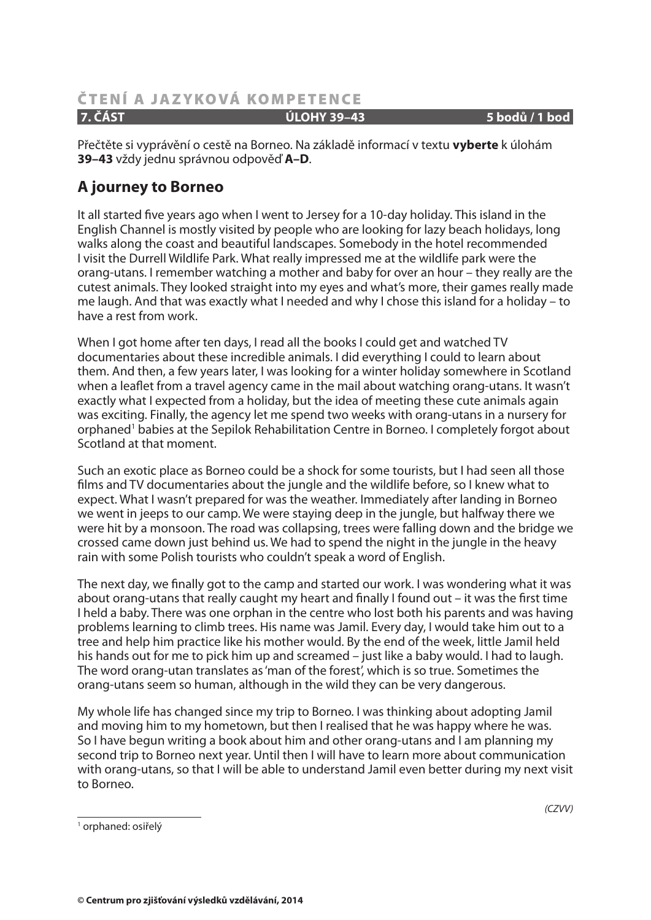#### **ČTENÍ A JAZYKOVÁ KOMPETENCE 7. ČÁST ÚLOHY 39–43 5 bodů / 1 bod**

Přečtěte si vyprávění o cestě na Borneo. Na základě informací v textu **vyberte** k úlohám **39–43** vždy jednu správnou odpověď **A–D**.

# **A journey to Borneo**

It all started five years ago when I went to Jersey for a 10-day holiday. This island in the English Channel is mostly visited by people who are looking for lazy beach holidays, long walks along the coast and beautiful landscapes. Somebody in the hotel recommended I visit the Durrell Wildlife Park. What really impressed me at the wildlife park were the orang-utans. I remember watching a mother and baby for over an hour – they really are the cutest animals. They looked straight into my eyes and what's more, their games really made me laugh. And that was exactly what I needed and why I chose this island for a holiday – to have a rest from work.

When I got home after ten days, I read all the books I could get and watched TV documentaries about these incredible animals. I did everything I could to learn about them. And then, a few years later, I was looking for a winter holiday somewhere in Scotland when a leaflet from a travel agency came in the mail about watching orang-utans. It wasn't exactly what I expected from a holiday, but the idea of meeting these cute animals again was exciting. Finally, the agency let me spend two weeks with orang-utans in a nursery for orphaned<sup>1</sup> babies at the Sepilok Rehabilitation Centre in Borneo. I completely forgot about Scotland at that moment.

Such an exotic place as Borneo could be a shock for some tourists, but I had seen all those films and TV documentaries about the jungle and the wildlife before, so I knew what to expect. What I wasn't prepared for was the weather. Immediately after landing in Borneo we went in jeeps to our camp. We were staying deep in the jungle, but halfway there we were hit by a monsoon. The road was collapsing, trees were falling down and the bridge we crossed came down just behind us. We had to spend the night in the jungle in the heavy rain with some Polish tourists who couldn't speak a word of English.

The next day, we finally got to the camp and started our work. I was wondering what it was about orang-utans that really caught my heart and finally I found out – it was the first time I held a baby. There was one orphan in the centre who lost both his parents and was having problems learning to climb trees. His name was Jamil. Every day, I would take him out to a tree and help him practice like his mother would. By the end of the week, little Jamil held his hands out for me to pick him up and screamed – just like a baby would. I had to laugh. The word orang-utan translates as 'man of the forest', which is so true. Sometimes the orang-utans seem so human, although in the wild they can be very dangerous.

My whole life has changed since my trip to Borneo. I was thinking about adopting Jamil and moving him to my hometown, but then I realised that he was happy where he was. So I have begun writing a book about him and other orang-utans and I am planning my second trip to Borneo next year. Until then I will have to learn more about communication with orang-utans, so that I will be able to understand Jamil even better during my next visit to Borneo.

1 orphaned: osiřelý

(CZVV)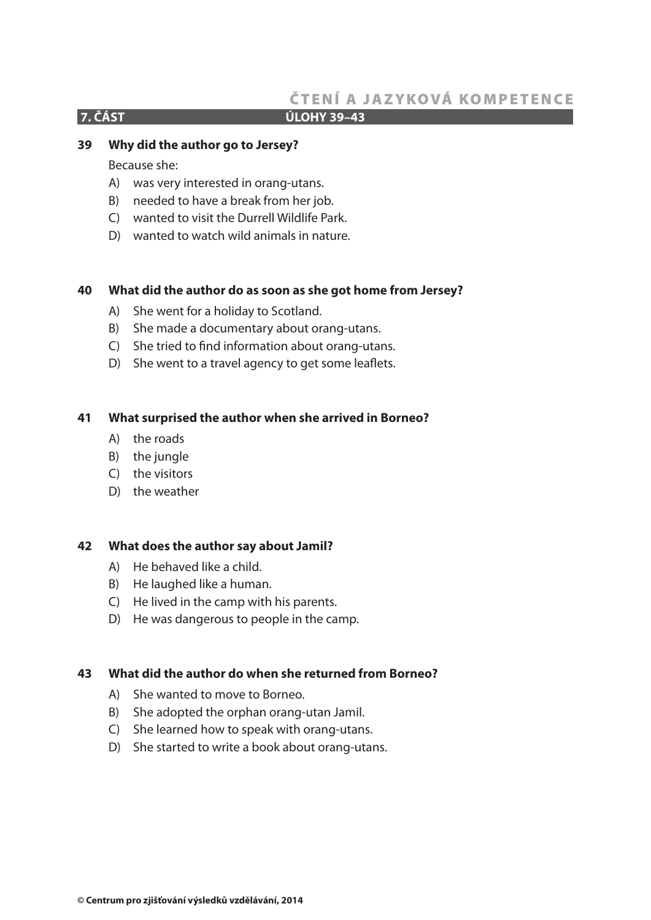#### **7. ČÁST ÚLOHY 39–43**

#### **39 Why did the author go to Jersey?**

Because she:

- A) was very interested in orang-utans.
- B) needed to have a break from her job.
- C) wanted to visit the Durrell Wildlife Park.
- D) wanted to watch wild animals in nature.

#### **40 What did the author do as soon as she got home from Jersey?**

- A) She went for a holiday to Scotland.
- B) She made a documentary about orang-utans.
- C) She tried to find information about orang-utans.
- D) She went to a travel agency to get some leaflets.

#### **41 What surprised the author when she arrived in Borneo?**

- A) the roads
- B) the jungle
- C) the visitors
- D) the weather

#### **42 What does the author say about Jamil?**

- A) He behaved like a child.
- B) He laughed like a human.
- C) He lived in the camp with his parents.
- D) He was dangerous to people in the camp.

#### **43 What did the author do when she returned from Borneo?**

- A) She wanted to move to Borneo.
- B) She adopted the orphan orang-utan Jamil.
- C) She learned how to speak with orang-utans.
- D) She started to write a book about orang-utans.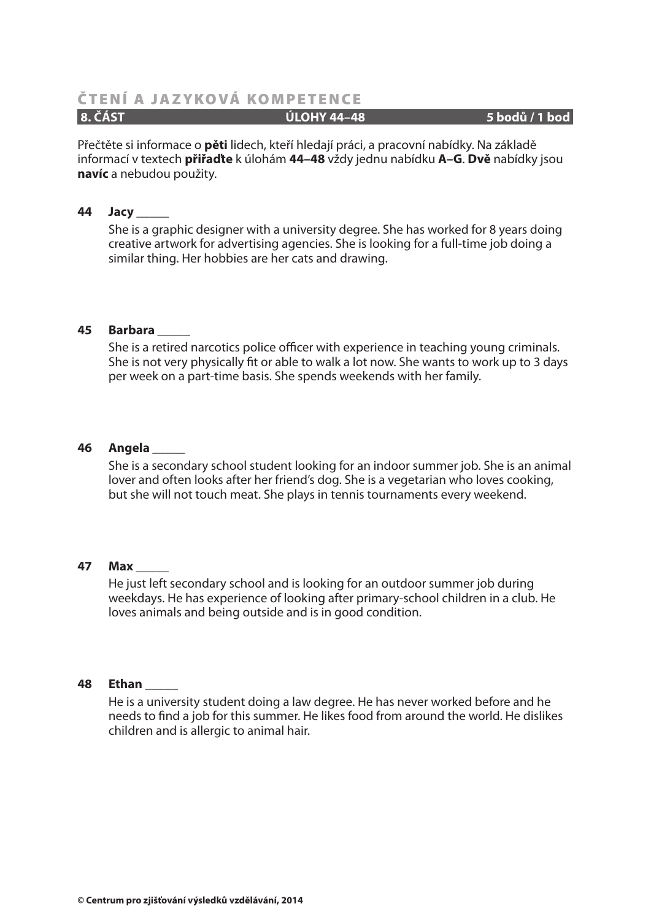#### **8. ČÁST ÚLOHY 44–48 5 bodů / 1 bod**

Přečtěte si informace o **pěti** lidech, kteří hledají práci, a pracovní nabídky. Na základě informací v textech **přiřaďte** k úlohám **44–48** vždy jednu nabídku **A–G**. **Dvě** nabídky jsou **navíc** a nebudou použity.

#### **44 Jacy \_\_\_\_\_**

She is a graphic designer with a university degree. She has worked for 8 years doing creative artwork for advertising agencies. She is looking for a full-time job doing a similar thing. Her hobbies are her cats and drawing.

#### **45 Barbara \_\_\_\_\_**

She is a retired narcotics police officer with experience in teaching young criminals. She is not very physically fit or able to walk a lot now. She wants to work up to 3 days per week on a part-time basis. She spends weekends with her family.

#### **46 Angela \_\_\_\_\_**

She is a secondary school student looking for an indoor summer job. She is an animal lover and often looks after her friend's dog. She is a vegetarian who loves cooking, but she will not touch meat. She plays in tennis tournaments every weekend.

#### **47 Max \_\_\_\_\_**

He just left secondary school and is looking for an outdoor summer job during weekdays. He has experience of looking after primary-school children in a club. He loves animals and being outside and is in good condition.

#### **48 Ethan \_\_\_\_\_**

He is a university student doing a law degree. He has never worked before and he needs to find a job for this summer. He likes food from around the world. He dislikes children and is allergic to animal hair.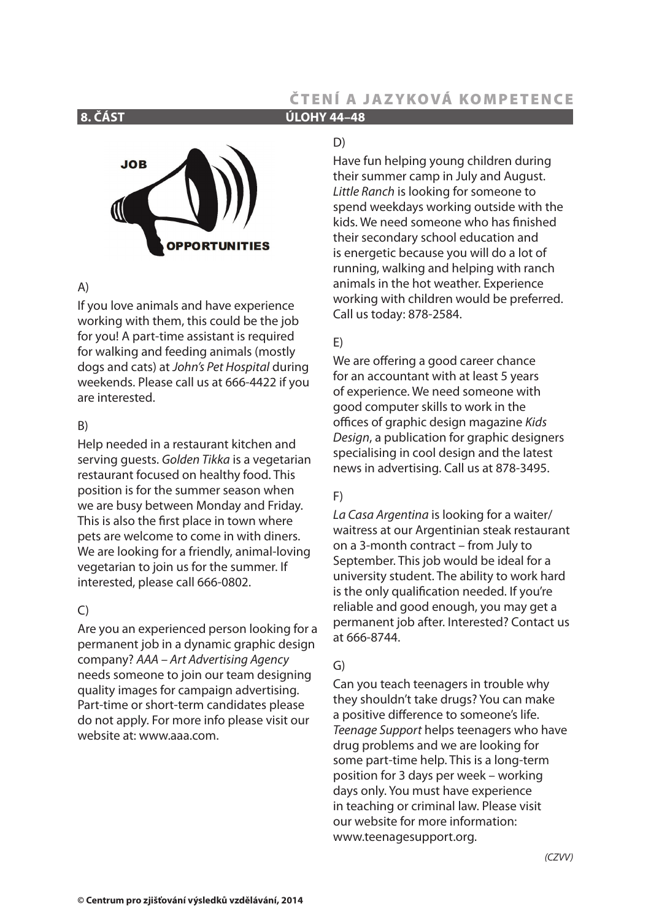**8. ČÁST ÚLOHY 44–48**

# **JOB OPPORTUNITIES**

#### A)

If you love animals and have experience working with them, this could be the job for you! A part-time assistant is required for walking and feeding animals (mostly dogs and cats) at John's Pet Hospital during weekends. Please call us at 666-4422 if you are interested.

#### B)

Help needed in a restaurant kitchen and serving quests. Golden Tikka is a vegetarian restaurant focused on healthy food. This position is for the summer season when we are busy between Monday and Friday. This is also the first place in town where pets are welcome to come in with diners. We are looking for a friendly, animal-loving vegetarian to join us for the summer. If interested, please call 666-0802.

#### $\mathcal{C}$

Are you an experienced person looking for a permanent job in a dynamic graphic design company? AAA – Art Advertising Agency needs someone to join our team designing quality images for campaign advertising. Part-time or short-term candidates please do not apply. For more info please visit our website at: www.aaa.com.

#### D)

Have fun helping young children during their summer camp in July and August. Little Ranch is looking for someone to spend weekdays working outside with the kids. We need someone who has finished their secondary school education and is energetic because you will do a lot of running, walking and helping with ranch animals in the hot weather. Experience working with children would be preferred. Call us today: 878-2584.

### E)

We are offering a good career chance for an accountant with at least 5 years of experience. We need someone with good computer skills to work in the offices of graphic design magazine Kids Design, a publication for graphic designers specialising in cool design and the latest news in advertising. Call us at 878-3495.

#### F)

La Casa Argentina is looking for a waiter/ waitress at our Argentinian steak restaurant on a 3-month contract – from July to September. This job would be ideal for a university student. The ability to work hard is the only qualification needed. If you're reliable and good enough, you may get a permanent job after. Interested? Contact us at 666-8744.

#### G)

Can you teach teenagers in trouble why they shouldn't take drugs? You can make a positive difference to someone's life. Teenage Support helps teenagers who have drug problems and we are looking for some part-time help. This is a long-term position for 3 days per week – working days only. You must have experience in teaching or criminal law. Please visit our website for more information: www.teenagesupport.org.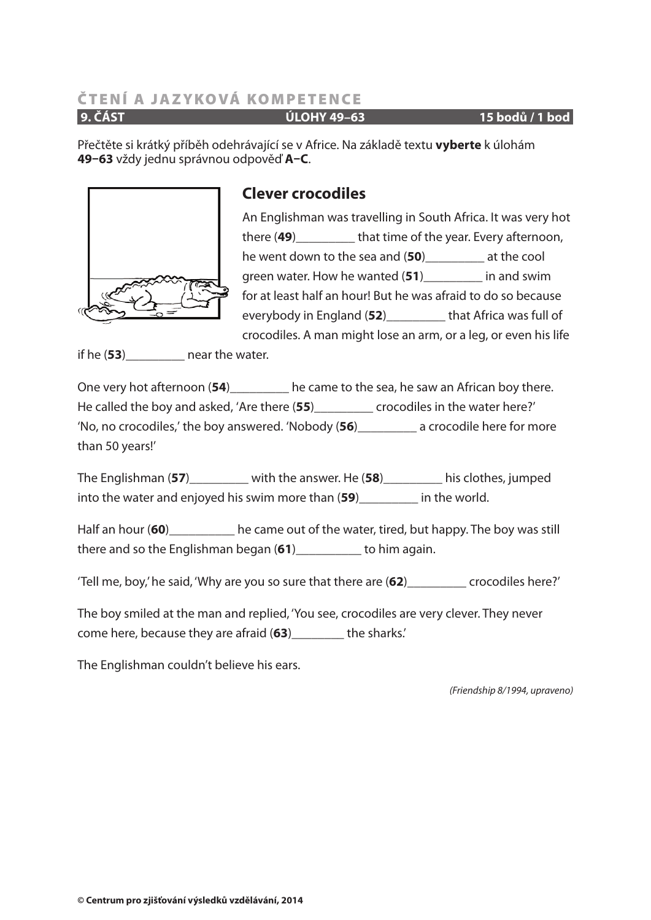**9. ČÁST ÚLOHY 49–63 15 bodů / 1 bod**

Přečtěte si krátký příběh odehrávající se v Africe. Na základě textu **vyberte** k úlohám **49–63** vždy jednu správnou odpověď **A–C**.



# **Clever crocodiles**

An Englishman was travelling in South Africa. It was very hot there (49) that time of the year. Every afternoon, he went down to the sea and (**50**)\_\_\_\_\_\_\_\_\_ at the cool green water. How he wanted (**51**)\_\_\_\_\_\_\_\_\_ in and swim for at least half an hour! But he was afraid to do so because everybody in England (**52**)\_\_\_\_\_\_\_\_\_ that Africa was full of crocodiles. A man might lose an arm, or a leg, or even his life

if he (**53**)\_\_\_\_\_\_\_\_\_ near the water.

One very hot afternoon (**54**)\_\_\_\_\_\_\_\_\_ he came to the sea, he saw an African boy there. He called the boy and asked, 'Are there (**55**)\_\_\_\_\_\_\_\_\_ crocodiles in the water here?' 'No, no crocodiles,' the boy answered. 'Nobody (**56**)\_\_\_\_\_\_\_\_\_ a crocodile here for more than 50 years!'

The Englishman (**57**)\_\_\_\_\_\_\_\_\_ with the answer. He (**58**)\_\_\_\_\_\_\_\_\_ his clothes, jumped into the water and enjoyed his swim more than (**59**)\_\_\_\_\_\_\_\_\_ in the world.

Half an hour (60)\_\_\_\_\_\_\_\_\_\_\_\_ he came out of the water, tired, but happy. The boy was still there and so the Englishman began (**61**)\_\_\_\_\_\_\_\_\_\_ to him again.

'Tell me, boy,' he said, 'Why are you so sure that there are (**62**)\_\_\_\_\_\_\_\_\_ crocodiles here?'

The boy smiled at the man and replied, 'You see, crocodiles are very clever. They never come here, because they are afraid (**63**)\_\_\_\_\_\_\_\_ the sharks.'

The Englishman couldn't believe his ears.

(Friendship 8/1994, upraveno)